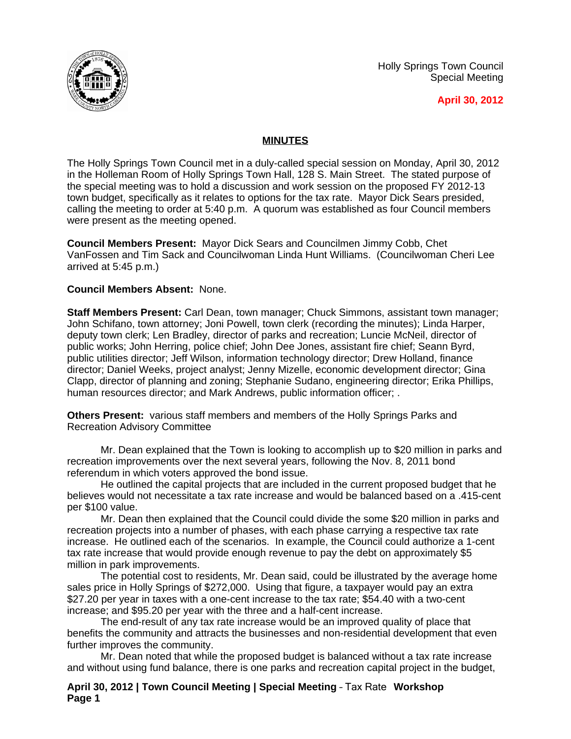

Holly Springs Town Council Special Meeting

**April 30, 2012**

## **MINUTES**

The Holly Springs Town Council met in a duly-called special session on Monday, April 30, 2012 in the Holleman Room of Holly Springs Town Hall, 128 S. Main Street. The stated purpose of the special meeting was to hold a discussion and work session on the proposed FY 2012-13 town budget, specifically as it relates to options for the tax rate. Mayor Dick Sears presided, calling the meeting to order at 5:40 p.m. A quorum was established as four Council members were present as the meeting opened.

**Council Members Present:** Mayor Dick Sears and Councilmen Jimmy Cobb, Chet VanFossen and Tim Sack and Councilwoman Linda Hunt Williams. (Councilwoman Cheri Lee arrived at 5:45 p.m.)

## **Council Members Absent:** None.

**Staff Members Present:** Carl Dean, town manager; Chuck Simmons, assistant town manager; John Schifano, town attorney; Joni Powell, town clerk (recording the minutes); Linda Harper, deputy town clerk; Len Bradley, director of parks and recreation; Luncie McNeil, director of public works; John Herring, police chief; John Dee Jones, assistant fire chief; Seann Byrd, public utilities director; Jeff Wilson, information technology director; Drew Holland, finance director; Daniel Weeks, project analyst; Jenny Mizelle, economic development director; Gina Clapp, director of planning and zoning; Stephanie Sudano, engineering director; Erika Phillips, human resources director; and Mark Andrews, public information officer; .

**Others Present:** various staff members and members of the Holly Springs Parks and Recreation Advisory Committee

Mr. Dean explained that the Town is looking to accomplish up to \$20 million in parks and recreation improvements over the next several years, following the Nov. 8, 2011 bond referendum in which voters approved the bond issue.

He outlined the capital projects that are included in the current proposed budget that he believes would not necessitate a tax rate increase and would be balanced based on a .415-cent per \$100 value.

Mr. Dean then explained that the Council could divide the some \$20 million in parks and recreation projects into a number of phases, with each phase carrying a respective tax rate increase. He outlined each of the scenarios. In example, the Council could authorize a 1-cent tax rate increase that would provide enough revenue to pay the debt on approximately \$5 million in park improvements.

The potential cost to residents, Mr. Dean said, could be illustrated by the average home sales price in Holly Springs of \$272,000. Using that figure, a taxpayer would pay an extra \$27.20 per year in taxes with a one-cent increase to the tax rate; \$54.40 with a two-cent increase; and \$95.20 per year with the three and a half-cent increase.

The end-result of any tax rate increase would be an improved quality of place that benefits the community and attracts the businesses and non-residential development that even further improves the community.

Mr. Dean noted that while the proposed budget is balanced without a tax rate increase and without using fund balance, there is one parks and recreation capital project in the budget,

**April 30, 2012 | Town Council Meeting | Special Meeting** – Tax Rate **Workshop Page 1**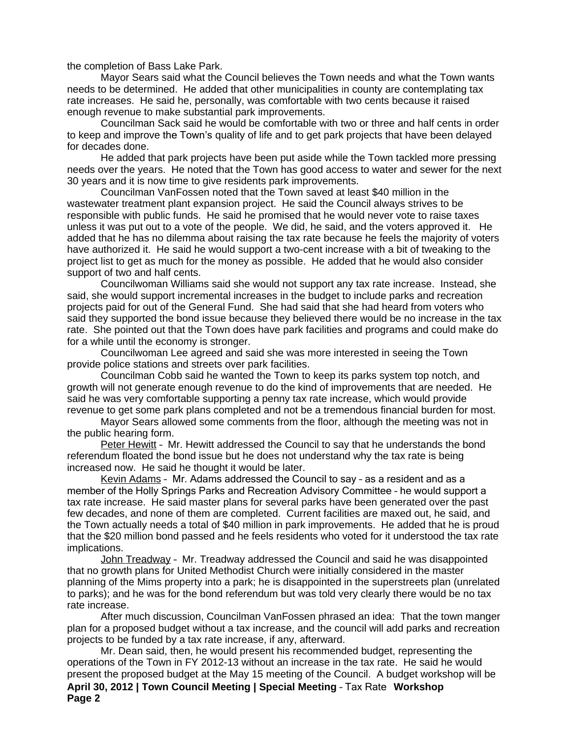the completion of Bass Lake Park.

Mayor Sears said what the Council believes the Town needs and what the Town wants needs to be determined. He added that other municipalities in county are contemplating tax rate increases. He said he, personally, was comfortable with two cents because it raised enough revenue to make substantial park improvements.

Councilman Sack said he would be comfortable with two or three and half cents in order to keep and improve the Town's quality of life and to get park projects that have been delayed for decades done.

He added that park projects have been put aside while the Town tackled more pressing needs over the years. He noted that the Town has good access to water and sewer for the next 30 years and it is now time to give residents park improvements.

Councilman VanFossen noted that the Town saved at least \$40 million in the wastewater treatment plant expansion project. He said the Council always strives to be responsible with public funds. He said he promised that he would never vote to raise taxes unless it was put out to a vote of the people. We did, he said, and the voters approved it. He added that he has no dilemma about raising the tax rate because he feels the majority of voters have authorized it. He said he would support a two-cent increase with a bit of tweaking to the project list to get as much for the money as possible. He added that he would also consider support of two and half cents.

Councilwoman Williams said she would not support any tax rate increase. Instead, she said, she would support incremental increases in the budget to include parks and recreation projects paid for out of the General Fund. She had said that she had heard from voters who said they supported the bond issue because they believed there would be no increase in the tax rate. She pointed out that the Town does have park facilities and programs and could make do for a while until the economy is stronger.

Councilwoman Lee agreed and said she was more interested in seeing the Town provide police stations and streets over park facilities.

Councilman Cobb said he wanted the Town to keep its parks system top notch, and growth will not generate enough revenue to do the kind of improvements that are needed. He said he was very comfortable supporting a penny tax rate increase, which would provide revenue to get some park plans completed and not be a tremendous financial burden for most.

Mayor Sears allowed some comments from the floor, although the meeting was not in the public hearing form.

Peter Hewitt – Mr. Hewitt addressed the Council to say that he understands the bond referendum floated the bond issue but he does not understand why the tax rate is being increased now. He said he thought it would be later.

Kevin Adams – Mr. Adams addressed the Council to say – as a resident and as a member of the Holly Springs Parks and Recreation Advisory Committee – he would support a tax rate increase. He said master plans for several parks have been generated over the past few decades, and none of them are completed. Current facilities are maxed out, he said, and the Town actually needs a total of \$40 million in park improvements. He added that he is proud that the \$20 million bond passed and he feels residents who voted for it understood the tax rate implications.

John Treadway – Mr. Treadway addressed the Council and said he was disappointed that no growth plans for United Methodist Church were initially considered in the master planning of the Mims property into a park; he is disappointed in the superstreets plan (unrelated to parks); and he was for the bond referendum but was told very clearly there would be no tax rate increase.

After much discussion, Councilman VanFossen phrased an idea: That the town manger plan for a proposed budget without a tax increase, and the council will add parks and recreation projects to be funded by a tax rate increase, if any, afterward.

**April 30, 2012 | Town Council Meeting | Special Meeting** – Tax Rate **Workshop Page 2** Mr. Dean said, then, he would present his recommended budget, representing the operations of the Town in FY 2012-13 without an increase in the tax rate. He said he would present the proposed budget at the May 15 meeting of the Council. A budget workshop will be